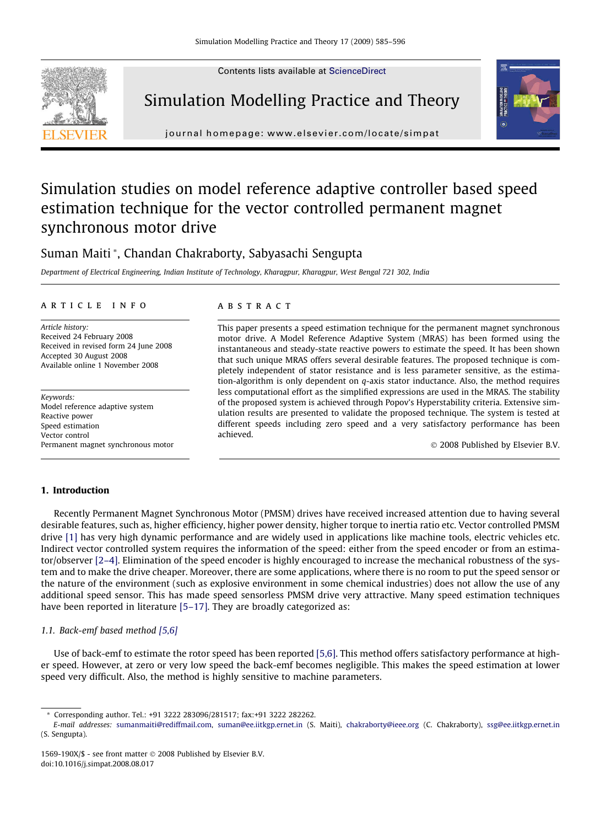Contents lists available at [ScienceDirect](http://www.sciencedirect.com/science/journal/1569190X)







journal homepage: [www.elsevier.com/locate/simpat](http://www.elsevier.com/locate/simpat)

## Simulation studies on model reference adaptive controller based speed estimation technique for the vector controlled permanent magnet synchronous motor drive

### Suman Maiti \*, Chandan Chakraborty, Sabyasachi Sengupta

Department of Electrical Engineering, Indian Institute of Technology, Kharagpur, Kharagpur, West Bengal 721 302, India

#### article info

Article history: Received 24 February 2008 Received in revised form 24 June 2008 Accepted 30 August 2008 Available online 1 November 2008

Keywords: Model reference adaptive system Reactive power Speed estimation Vector control Permanent magnet synchronous motor

#### **ABSTRACT**

This paper presents a speed estimation technique for the permanent magnet synchronous motor drive. A Model Reference Adaptive System (MRAS) has been formed using the instantaneous and steady-state reactive powers to estimate the speed. It has been shown that such unique MRAS offers several desirable features. The proposed technique is completely independent of stator resistance and is less parameter sensitive, as the estimation-algorithm is only dependent on  $q$ -axis stator inductance. Also, the method requires less computational effort as the simplified expressions are used in the MRAS. The stability of the proposed system is achieved through Popov's Hyperstability criteria. Extensive simulation results are presented to validate the proposed technique. The system is tested at different speeds including zero speed and a very satisfactory performance has been achieved.

© 2008 Published by Elsevier B.V.

#### 1. Introduction

Recently Permanent Magnet Synchronous Motor (PMSM) drives have received increased attention due to having several desirable features, such as, higher efficiency, higher power density, higher torque to inertia ratio etc. Vector controlled PMSM drive [\[1\]](#page--1-0) has very high dynamic performance and are widely used in applications like machine tools, electric vehicles etc. Indirect vector controlled system requires the information of the speed: either from the speed encoder or from an estimator/observer [\[2–4\].](#page--1-0) Elimination of the speed encoder is highly encouraged to increase the mechanical robustness of the system and to make the drive cheaper. Moreover, there are some applications, where there is no room to put the speed sensor or the nature of the environment (such as explosive environment in some chemical industries) does not allow the use of any additional speed sensor. This has made speed sensorless PMSM drive very attractive. Many speed estimation techniques have been reported in literature [\[5–17\].](#page--1-0) They are broadly categorized as:

#### 1.1. Back-emf based method [\[5,6\]](#page--1-0)

Use of back-emf to estimate the rotor speed has been reported [\[5,6\].](#page--1-0) This method offers satisfactory performance at higher speed. However, at zero or very low speed the back-emf becomes negligible. This makes the speed estimation at lower speed very difficult. Also, the method is highly sensitive to machine parameters.

<sup>\*</sup> Corresponding author. Tel.: +91 3222 283096/281517; fax:+91 3222 282262.

E-mail addresses: [sumanmaiti@rediffmail.com](mailto:sumanmaiti@rediffmail.com), [suman@ee.iitkgp.ernet.in](mailto:suman@ee.iitkgp.ernet.in) (S. Maiti), [chakraborty@ieee.org](mailto:chakraborty@ieee.org) (C. Chakraborty), [ssg@ee.iitkgp.ernet.in](mailto:ssg@ee.iitkgp.ernet.in) (S. Sengupta).

<sup>1569-190</sup>X/\$ - see front matter © 2008 Published by Elsevier B.V. doi:10.1016/j.simpat.2008.08.017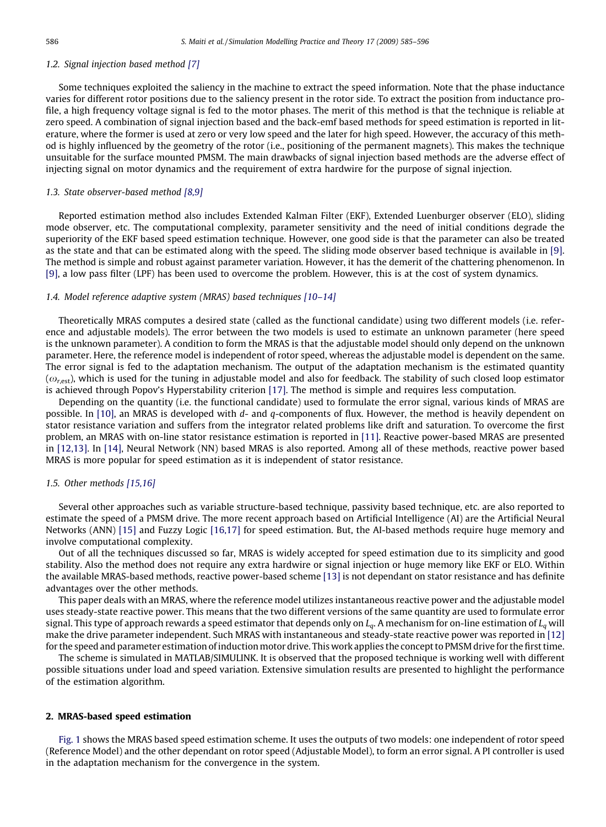#### 1.2. Signal injection based method [\[7\]](#page--1-0)

Some techniques exploited the saliency in the machine to extract the speed information. Note that the phase inductance varies for different rotor positions due to the saliency present in the rotor side. To extract the position from inductance profile, a high frequency voltage signal is fed to the motor phases. The merit of this method is that the technique is reliable at zero speed. A combination of signal injection based and the back-emf based methods for speed estimation is reported in literature, where the former is used at zero or very low speed and the later for high speed. However, the accuracy of this method is highly influenced by the geometry of the rotor (i.e., positioning of the permanent magnets). This makes the technique unsuitable for the surface mounted PMSM. The main drawbacks of signal injection based methods are the adverse effect of injecting signal on motor dynamics and the requirement of extra hardwire for the purpose of signal injection.

#### 1.3. State observer-based method [\[8,9\]](#page--1-0)

Reported estimation method also includes Extended Kalman Filter (EKF), Extended Luenburger observer (ELO), sliding mode observer, etc. The computational complexity, parameter sensitivity and the need of initial conditions degrade the superiority of the EKF based speed estimation technique. However, one good side is that the parameter can also be treated as the state and that can be estimated along with the speed. The sliding mode observer based technique is available in [\[9\]](#page--1-0). The method is simple and robust against parameter variation. However, it has the demerit of the chattering phenomenon. In [\[9\],](#page--1-0) a low pass filter (LPF) has been used to overcome the problem. However, this is at the cost of system dynamics.

#### 1.4. Model reference adaptive system (MRAS) based techniques [\[10–14\]](#page--1-0)

Theoretically MRAS computes a desired state (called as the functional candidate) using two different models (i.e. reference and adjustable models). The error between the two models is used to estimate an unknown parameter (here speed is the unknown parameter). A condition to form the MRAS is that the adjustable model should only depend on the unknown parameter. Here, the reference model is independent of rotor speed, whereas the adjustable model is dependent on the same. The error signal is fed to the adaptation mechanism. The output of the adaptation mechanism is the estimated quantity  $(\omega_{rest})$ , which is used for the tuning in adjustable model and also for feedback. The stability of such closed loop estimator is achieved through Popov's Hyperstability criterion [\[17\].](#page--1-0) The method is simple and requires less computation.

Depending on the quantity (i.e. the functional candidate) used to formulate the error signal, various kinds of MRAS are possible. In [\[10\]](#page--1-0), an MRAS is developed with  $d$ - and  $q$ -components of flux. However, the method is heavily dependent on stator resistance variation and suffers from the integrator related problems like drift and saturation. To overcome the first problem, an MRAS with on-line stator resistance estimation is reported in [\[11\]](#page--1-0). Reactive power-based MRAS are presented in [\[12,13\]](#page--1-0). In [\[14\]](#page--1-0), Neural Network (NN) based MRAS is also reported. Among all of these methods, reactive power based MRAS is more popular for speed estimation as it is independent of stator resistance.

#### 1.5. Other methods [\[15,16\]](#page--1-0)

Several other approaches such as variable structure-based technique, passivity based technique, etc. are also reported to estimate the speed of a PMSM drive. The more recent approach based on Artificial Intelligence (AI) are the Artificial Neural Networks (ANN) [\[15\]](#page--1-0) and Fuzzy Logic [\[16,17\]](#page--1-0) for speed estimation. But, the AI-based methods require huge memory and involve computational complexity.

Out of all the techniques discussed so far, MRAS is widely accepted for speed estimation due to its simplicity and good stability. Also the method does not require any extra hardwire or signal injection or huge memory like EKF or ELO. Within the available MRAS-based methods, reactive power-based scheme [\[13\]](#page--1-0) is not dependant on stator resistance and has definite advantages over the other methods.

This paper deals with an MRAS, where the reference model utilizes instantaneous reactive power and the adjustable model uses steady-state reactive power. This means that the two different versions of the same quantity are used to formulate error signal. This type of approach rewards a speed estimator that depends only on  $L_q$ . A mechanism for on-line estimation of  $L_q$  will make the drive parameter independent. Such MRAS with instantaneous and steady-state reactive power was reported in [\[12\]](#page--1-0) for the speed and parameter estimation of induction motor drive. This work applies the concept to PMSM drive for the first time.

The scheme is simulated in MATLAB/SIMULINK. It is observed that the proposed technique is working well with different possible situations under load and speed variation. Extensive simulation results are presented to highlight the performance of the estimation algorithm.

#### 2. MRAS-based speed estimation

[Fig. 1](#page--1-0) shows the MRAS based speed estimation scheme. It uses the outputs of two models: one independent of rotor speed (Reference Model) and the other dependant on rotor speed (Adjustable Model), to form an error signal. A PI controller is used in the adaptation mechanism for the convergence in the system.